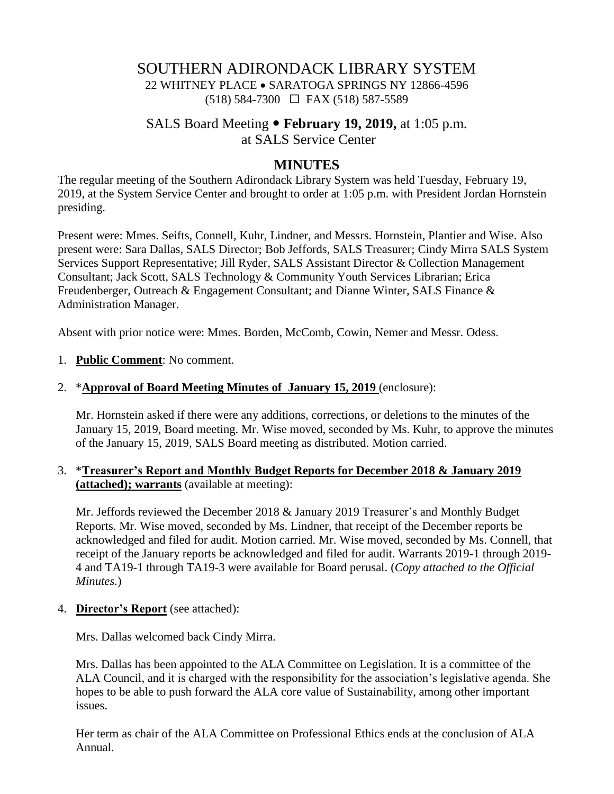# SOUTHERN ADIRONDACK LIBRARY SYSTEM 22 WHITNEY PLACE • SARATOGA SPRINGS NY 12866-4596 (518) 584-7300 FAX (518) 587-5589

# SALS Board Meeting **February 19, 2019,** at 1:05 p.m. at SALS Service Center

### **MINUTES**

The regular meeting of the Southern Adirondack Library System was held Tuesday, February 19, 2019, at the System Service Center and brought to order at 1:05 p.m. with President Jordan Hornstein presiding.

Present were: Mmes. Seifts, Connell, Kuhr, Lindner, and Messrs. Hornstein, Plantier and Wise. Also present were: Sara Dallas, SALS Director; Bob Jeffords, SALS Treasurer; Cindy Mirra SALS System Services Support Representative; Jill Ryder, SALS Assistant Director & Collection Management Consultant; Jack Scott, SALS Technology & Community Youth Services Librarian; Erica Freudenberger, Outreach & Engagement Consultant; and Dianne Winter, SALS Finance & Administration Manager.

Absent with prior notice were: Mmes. Borden, McComb, Cowin, Nemer and Messr. Odess.

#### 1. **Public Comment**: No comment.

#### 2. \***Approval of Board Meeting Minutes of January 15, 2019** (enclosure):

Mr. Hornstein asked if there were any additions, corrections, or deletions to the minutes of the January 15, 2019, Board meeting. Mr. Wise moved, seconded by Ms. Kuhr, to approve the minutes of the January 15, 2019, SALS Board meeting as distributed. Motion carried.

### 3. \***Treasurer's Report and Monthly Budget Reports for December 2018 & January 2019 (attached); warrants** (available at meeting):

Mr. Jeffords reviewed the December 2018 & January 2019 Treasurer's and Monthly Budget Reports. Mr. Wise moved, seconded by Ms. Lindner, that receipt of the December reports be acknowledged and filed for audit. Motion carried. Mr. Wise moved, seconded by Ms. Connell, that receipt of the January reports be acknowledged and filed for audit. Warrants 2019-1 through 2019- 4 and TA19-1 through TA19-3 were available for Board perusal. (*Copy attached to the Official Minutes.*)

#### 4. **Director's Report** (see attached):

Mrs. Dallas welcomed back Cindy Mirra.

Mrs. Dallas has been appointed to the ALA Committee on Legislation. It is a committee of the ALA Council, and it is charged with the responsibility for the association's legislative agenda. She hopes to be able to push forward the ALA core value of Sustainability, among other important issues.

Her term as chair of the ALA Committee on Professional Ethics ends at the conclusion of ALA Annual.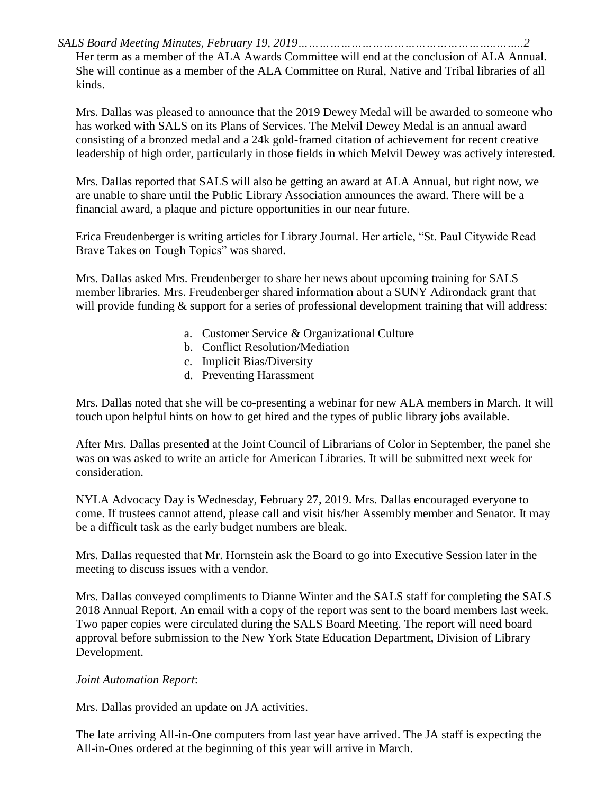*SALS Board Meeting Minutes, February 19, 2019………………………………………………..……..2*

Her term as a member of the ALA Awards Committee will end at the conclusion of ALA Annual. She will continue as a member of the ALA Committee on Rural, Native and Tribal libraries of all kinds.

Mrs. Dallas was pleased to announce that the 2019 Dewey Medal will be awarded to someone who has worked with SALS on its Plans of Services. The Melvil Dewey Medal is an annual award consisting of a bronzed medal and a 24k gold-framed citation of achievement for recent creative leadership of high order, particularly in those fields in which Melvil Dewey was actively interested.

Mrs. Dallas reported that SALS will also be getting an award at ALA Annual, but right now, we are unable to share until the Public Library Association announces the award. There will be a financial award, a plaque and picture opportunities in our near future.

Erica Freudenberger is writing articles for Library Journal. Her article, "St. Paul Citywide Read Brave Takes on Tough Topics" was shared.

Mrs. Dallas asked Mrs. Freudenberger to share her news about upcoming training for SALS member libraries. Mrs. Freudenberger shared information about a SUNY Adirondack grant that will provide funding  $&$  support for a series of professional development training that will address:

- a. Customer Service & Organizational Culture
- b. Conflict Resolution/Mediation
- c. Implicit Bias/Diversity
- d. Preventing Harassment

Mrs. Dallas noted that she will be co-presenting a webinar for new ALA members in March. It will touch upon helpful hints on how to get hired and the types of public library jobs available.

After Mrs. Dallas presented at the Joint Council of Librarians of Color in September, the panel she was on was asked to write an article for American Libraries. It will be submitted next week for consideration.

NYLA Advocacy Day is Wednesday, February 27, 2019. Mrs. Dallas encouraged everyone to come. If trustees cannot attend, please call and visit his/her Assembly member and Senator. It may be a difficult task as the early budget numbers are bleak.

Mrs. Dallas requested that Mr. Hornstein ask the Board to go into Executive Session later in the meeting to discuss issues with a vendor.

Mrs. Dallas conveyed compliments to Dianne Winter and the SALS staff for completing the SALS 2018 Annual Report. An email with a copy of the report was sent to the board members last week. Two paper copies were circulated during the SALS Board Meeting. The report will need board approval before submission to the New York State Education Department, Division of Library Development.

### *Joint Automation Report*:

Mrs. Dallas provided an update on JA activities.

The late arriving All-in-One computers from last year have arrived. The JA staff is expecting the All-in-Ones ordered at the beginning of this year will arrive in March.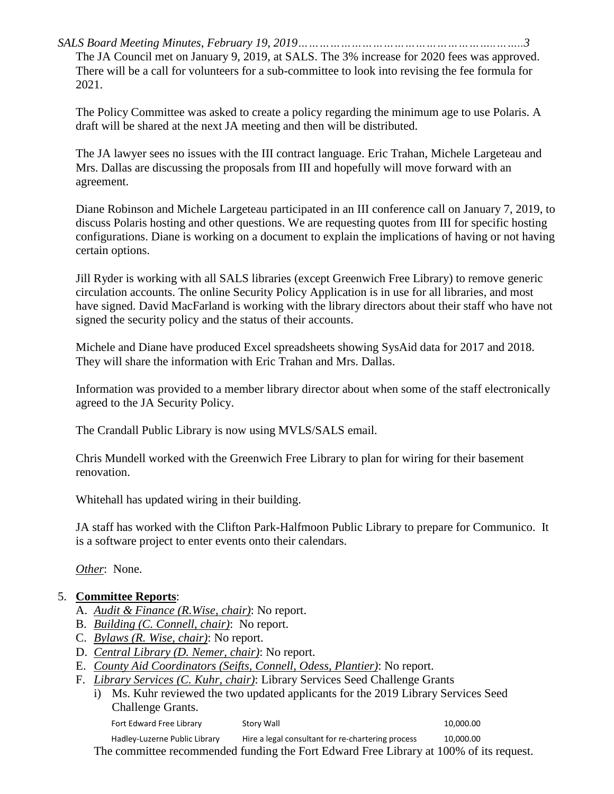*SALS Board Meeting Minutes, February 19, 2019………………………………………………..……..3* The JA Council met on January 9, 2019, at SALS. The 3% increase for 2020 fees was approved. There will be a call for volunteers for a sub-committee to look into revising the fee formula for 2021.

The Policy Committee was asked to create a policy regarding the minimum age to use Polaris. A draft will be shared at the next JA meeting and then will be distributed.

The JA lawyer sees no issues with the III contract language. Eric Trahan, Michele Largeteau and Mrs. Dallas are discussing the proposals from III and hopefully will move forward with an agreement.

Diane Robinson and Michele Largeteau participated in an III conference call on January 7, 2019, to discuss Polaris hosting and other questions. We are requesting quotes from III for specific hosting configurations. Diane is working on a document to explain the implications of having or not having certain options.

Jill Ryder is working with all SALS libraries (except Greenwich Free Library) to remove generic circulation accounts. The online Security Policy Application is in use for all libraries, and most have signed. David MacFarland is working with the library directors about their staff who have not signed the security policy and the status of their accounts.

Michele and Diane have produced Excel spreadsheets showing SysAid data for 2017 and 2018. They will share the information with Eric Trahan and Mrs. Dallas.

Information was provided to a member library director about when some of the staff electronically agreed to the JA Security Policy.

The Crandall Public Library is now using MVLS/SALS email.

Chris Mundell worked with the Greenwich Free Library to plan for wiring for their basement renovation.

Whitehall has updated wiring in their building.

JA staff has worked with the Clifton Park-Halfmoon Public Library to prepare for Communico. It is a software project to enter events onto their calendars.

*Other*: None.

# 5. **Committee Reports**:

- A. *Audit & Finance (R.Wise, chair)*: No report.
- B. *Building (C. Connell, chair)*: No report.
- C. *Bylaws (R. Wise, chair)*: No report.
- D. *Central Library (D. Nemer, chair)*: No report.
- E. *County Aid Coordinators (Seifts, Connell, Odess, Plantier)*: No report.
- F. *Library Services (C. Kuhr, chair)*: Library Services Seed Challenge Grants
	- i) Ms. Kuhr reviewed the two updated applicants for the 2019 Library Services Seed Challenge Grants.

Fort Edward Free Library Story Wall 10,000.00

Hadley-Luzerne Public Library Hire a legal consultant for re-chartering process 10,000.00 The committee recommended funding the Fort Edward Free Library at 100% of its request.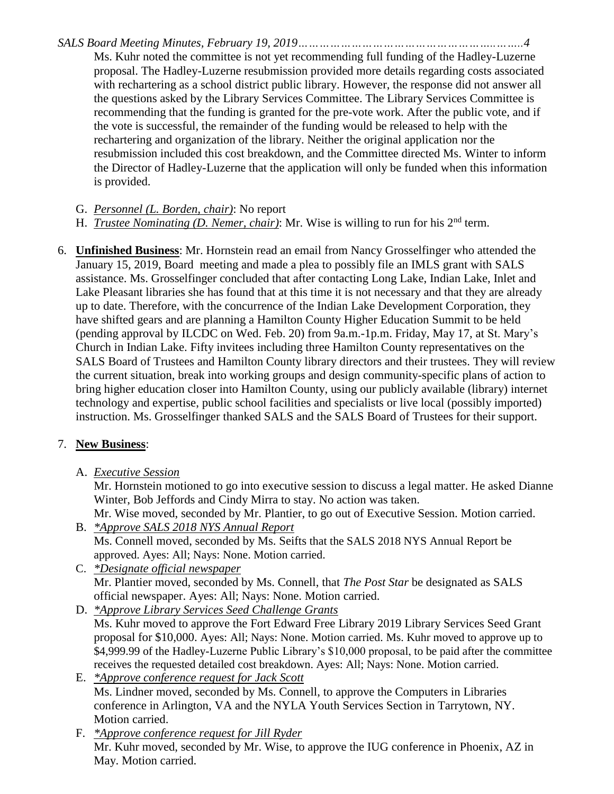*SALS Board Meeting Minutes, February 19, 2019………………………………………………..……..4*

Ms. Kuhr noted the committee is not yet recommending full funding of the Hadley-Luzerne proposal. The Hadley-Luzerne resubmission provided more details regarding costs associated with rechartering as a school district public library. However, the response did not answer all the questions asked by the Library Services Committee. The Library Services Committee is recommending that the funding is granted for the pre-vote work. After the public vote, and if the vote is successful, the remainder of the funding would be released to help with the rechartering and organization of the library. Neither the original application nor the resubmission included this cost breakdown, and the Committee directed Ms. Winter to inform the Director of Hadley-Luzerne that the application will only be funded when this information is provided.

G. *Personnel (L. Borden, chair)*: No report

- H. *Trustee Nominating (D. Nemer, chair)*: Mr. Wise is willing to run for his 2nd term.
- 6. **Unfinished Business**: Mr. Hornstein read an email from Nancy Grosselfinger who attended the January 15, 2019, Board meeting and made a plea to possibly file an IMLS grant with SALS assistance. Ms. Grosselfinger concluded that after contacting Long Lake, Indian Lake, Inlet and Lake Pleasant libraries she has found that at this time it is not necessary and that they are already up to date. Therefore, with the concurrence of the Indian Lake Development Corporation, they have shifted gears and are planning a Hamilton County Higher Education Summit to be held (pending approval by ILCDC on Wed. Feb. 20) from 9a.m.-1p.m. Friday, May 17, at St. Mary's Church in Indian Lake. Fifty invitees including three Hamilton County representatives on the SALS Board of Trustees and Hamilton County library directors and their trustees. They will review the current situation, break into working groups and design community-specific plans of action to bring higher education closer into Hamilton County, using our publicly available (library) internet technology and expertise, public school facilities and specialists or live local (possibly imported) instruction. Ms. Grosselfinger thanked SALS and the SALS Board of Trustees for their support.

# 7. **New Business**:

A. *Executive Session*

Mr. Hornstein motioned to go into executive session to discuss a legal matter. He asked Dianne Winter, Bob Jeffords and Cindy Mirra to stay. No action was taken.

Mr. Wise moved, seconded by Mr. Plantier, to go out of Executive Session. Motion carried.

- B. *\*Approve SALS 2018 NYS Annual Report* Ms. Connell moved, seconded by Ms. Seifts that the SALS 2018 NYS Annual Report be approved. Ayes: All; Nays: None. Motion carried.
- C. *\*Designate official newspaper* Mr. Plantier moved, seconded by Ms. Connell, that *The Post Star* be designated as SALS official newspaper. Ayes: All; Nays: None. Motion carried.
- D. *\*Approve Library Services Seed Challenge Grants* Ms. Kuhr moved to approve the Fort Edward Free Library 2019 Library Services Seed Grant proposal for \$10,000. Ayes: All; Nays: None. Motion carried. Ms. Kuhr moved to approve up to \$4,999.99 of the Hadley-Luzerne Public Library's \$10,000 proposal, to be paid after the committee receives the requested detailed cost breakdown. Ayes: All; Nays: None. Motion carried.
- E. *\*Approve conference request for Jack Scott* Ms. Lindner moved, seconded by Ms. Connell, to approve the Computers in Libraries conference in Arlington, VA and the NYLA Youth Services Section in Tarrytown, NY. Motion carried.
- F. *\*Approve conference request for Jill Ryder* Mr. Kuhr moved, seconded by Mr. Wise, to approve the IUG conference in Phoenix, AZ in May. Motion carried.